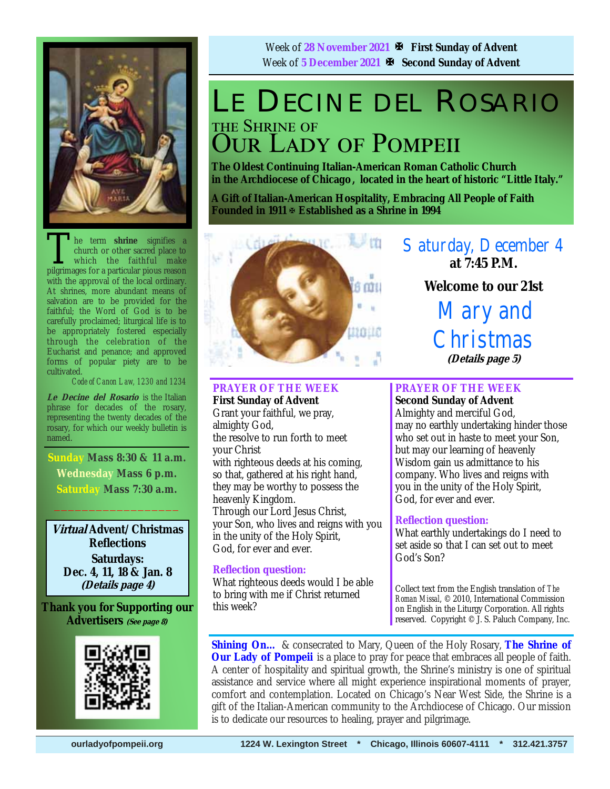

The term **shrine** signifies a church or other sacred place to which the faithful make pilerimages for a particular pious reason church or other sacred place to which the faithful make pilgrimages for a particular pious reason with the approval of the local ordinary. At shrines, more abundant means of salvation are to be provided for the faithful; the Word of God is to be carefully proclaimed; liturgical life is to be appropriately fostered especially through the celebration of the Eucharist and penance; and approved forms of popular piety are to be cultivated.

*Code of Canon Law, 1230 and 1234* 

**Le Decine del Rosario** is the Italian phrase for decades of the rosary, representing the twenty decades of the rosary, for which our weekly bulletin is named.

**Sunday Mass 8:30 & 11 a.m. Wednesday Mass 6 p.m. Saturday Mass 7:30 a.m.** 

 $\frac{1}{2}$  ,  $\frac{1}{2}$  ,  $\frac{1}{2}$  ,  $\frac{1}{2}$  ,  $\frac{1}{2}$  ,  $\frac{1}{2}$  ,  $\frac{1}{2}$  ,  $\frac{1}{2}$ 

**Virtual Advent/Christmas Reflections Saturdays: Dec. 4, 11, 18 & Jan. 8 (Details page 4)**

**Thank you for Supporting our Advertisers (See page 8)**



Week of **28 November 2021 First Sunday of Advent** Week of 5 December 2021  $\mathbb{F}$  Second Sunday of Advent

## LE DECINE DEL ROSARIO THE SHRINE OF **OUR LADY OF POMPEII**

**The Oldest Continuing Italian-American Roman Catholic Church in the Archdiocese of Chicago , located in the heart of historic "Little Italy."** 

**A Gift of Italian-American Hospitality, Embracing All People of Faith Founded in 1911 Established as a Shrine in 1994**



**PRAYER OF THE WEEK First Sunday of Advent**  Grant your faithful, we pray,

almighty God, the resolve to run forth to meet your Christ with righteous deeds at his coming, so that, gathered at his right hand, they may be worthy to possess the heavenly Kingdom. Through our Lord Jesus Christ, your Son, who lives and reigns with you in the unity of the Holy Spirit, God, for ever and ever.

#### **Reflection question:**

What righteous deeds would I be able to bring with me if Christ returned this week?

Saturday, December 4 **at 7:45 P.M. Welcome to our 21st**  Mary and **Christmas** 

**(Details page 5)**

#### **PRAYER OF THE WEEK Second Sunday of Advent**

Almighty and merciful God, may no earthly undertaking hinder those who set out in haste to meet your Son, but may our learning of heavenly Wisdom gain us admittance to his company. Who lives and reigns with you in the unity of the Holy Spirit, God, for ever and ever.

#### **Reflection question:**

What earthly undertakings do I need to set aside so that I can set out to meet God's Son?

Collect text from the English translation of *The Roman Missal*, © 2010, International Commission on English in the Liturgy Corporation. All rights reserved. Copyright © J. S. Paluch Company, Inc.

**Shining On…** & consecrated to Mary, Queen of the Holy Rosary, **The Shrine of Our Lady of Pompeii** is a place to pray for peace that embraces all people of faith. A center of hospitality and spiritual growth, the Shrine's ministry is one of spiritual assistance and service where all might experience inspirational moments of prayer, comfort and contemplation. Located on Chicago's Near West Side, the Shrine is a gift of the Italian-American community to the Archdiocese of Chicago. Our mission is to dedicate our resources to healing, prayer and pilgrimage.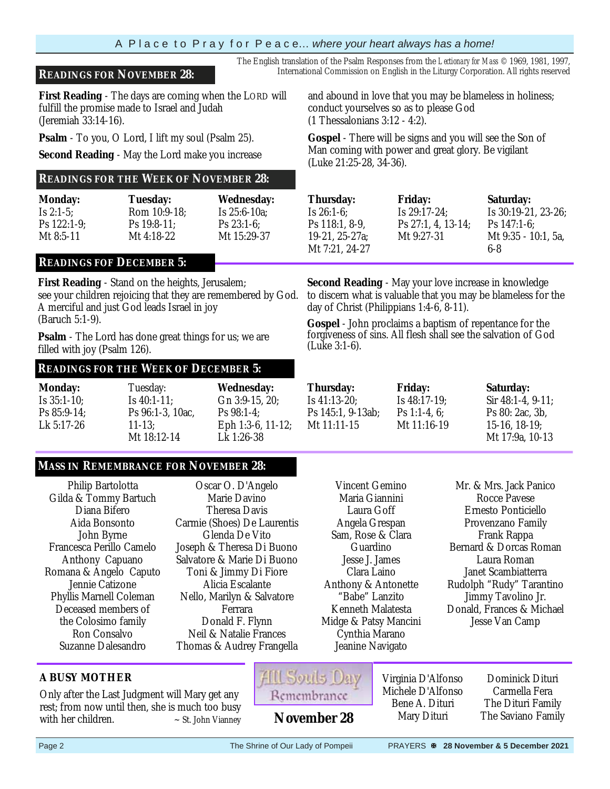#### A P l a c e t o P r a y f o r P e a c e… *where your heart always has a home!*

#### **READINGS FOR NOVEMBER 28:** International Commission on English in the Liturgy Corporation. All rights reserved

**First Reading** - The days are coming when the LORD will fulfill the promise made to Israel and Judah (Jeremiah 33:14-16).

**Psalm** - To you, O Lord, I lift my soul (Psalm 25).

**Second Reading** - May the Lord make you increase

#### **READINGS FOR THE WEEK OF NOVEMBER 28:**

| <b>Monday:</b> | <b>Tuesday:</b> | <b>Wednesday:</b> |
|----------------|-----------------|-------------------|
| Is $2:1-5$ :   | Rom 10:9-18:    | Is $25:6-10a$ ;   |
| $Ps$ 122:1-9;  | $Ps$ 19:8-11:   | $Ps 23:1-6$       |
| Mt $8:5-11$    | Mt $4:18-22$    | Mt 15:29-37       |

#### **READINGS FOF DECEMBER 5:**

**First Reading** - Stand on the heights, Jerusalem; see your children rejoicing that they are remembered by God. A merciful and just God leads Israel in joy (Baruch 5:1-9).

**Psalm** - The Lord has done great things for us; we are filled with joy (Psalm 126).

#### **READINGS FOR THE WEEK OF DECEMBER 5:**

| <b>Monday:</b> | Tuesday:         | <b>Wednesday:</b> |
|----------------|------------------|-------------------|
| Is $35:1-10$ ; | Is $40:1-11$ ;   | Gn 3:9-15, 20:    |
| Ps $85:9-14$ ; | Ps 96:1-3, 10ac. | $Ps 98:1-4$       |
| Lk 5:17-26     | $11 - 13$ :      | Eph 1:3-6, 11-12; |
|                | Mt 18:12-14      | Lk 1:26-38        |

#### **MASS IN REMEMBRANCE FOR NOVEMBER 28:**

Only after the Last Judgment will Mary get any rest; from now until then, she is much too busy with her children.  $\sim$  St. John Vianney

Philip Bartolotta Gilda & Tommy Bartuch Diana Bifero Aida Bonsonto John Byrne Francesca Perillo Camelo Anthony Capuano Romana & Angelo Caputo Jennie Catizone Phyllis Marnell Coleman Deceased members of the Colosimo family Ron Consalvo Suzanne Dalesandro

**A BUSY MOTHER** 

Oscar O. D'Angelo Marie Davino Theresa Davis Carmie (Shoes) De Laurentis Glenda De Vito Joseph & Theresa Di Buono Salvatore & Marie Di Buono Toni & Jimmy Di Fiore Alicia Escalante Nello, Marilyn & Salvatore Ferrara Donald F. Flynn Neil & Natalie Frances Thomas & Audrey Frangella

Virginia D'Alfonso Michele D'Alfonso Bene A. Dituri Mary Dituri

Dominick Dituri Carmella Fera The Dituri Family **November 28** Mary Dituri The Saviano Family

and abound in love that you may be blameless in holiness; conduct yourselves so as to please God

The English translation of the Psalm Responses from the *Lectionary for Mass* © 1969, 1981, 1997,

(1 Thessalonians 3:12 - 4:2).

**Gospel** - There will be signs and you will see the Son of Man coming with power and great glory. Be vigilant (Luke 21:25-28, 34-36).

| <b>Thursday:</b> | <b>Friday:</b>     | <b>Saturday:</b>    |
|------------------|--------------------|---------------------|
| Is $26:1-6$ :    | Is $29:17-24$ ;    | Is 30:19-21, 23-26; |
| Ps 118:1, 8-9.   | Ps 27:1, 4, 13-14; | Ps $147:1-6$ :      |
| 19-21, 25-27a;   | Mt 9:27-31         | Mt 9:35 - 10:1, 5a, |
| Mt 7:21, 24-27   |                    | 6-8                 |

**Second Reading** - May your love increase in knowledge to discern what is valuable that you may be blameless for the day of Christ (Philippians 1:4-6, 8-11).

**Gospel** - John proclaims a baptism of repentance for the forgiveness of sins. All flesh shall see the salvation of God (Luke 3:1-6).

|    | <b>Thursday:</b>  | <b>Friday:</b>  | <b>Saturday:</b>        |
|----|-------------------|-----------------|-------------------------|
|    | Is $41:13-20$ ;   | Is $48:17-19$ ; | Sir $48:1-4$ , $9-11$ : |
|    | Ps 145:1, 9-13ab; | Ps 1:1-4, $6$ : | Ps 80: 2ac, 3b,         |
| ì: | Mt $11:11-15$     | Mt 11:16-19     | $15-16$ , $18-19$ ;     |
|    |                   |                 | Mt 17:9a, 10-13         |

Vincent Gemino Maria Giannini Laura Goff Angela Grespan Sam, Rose & Clara Guardino Jesse J. James Clara Laino Anthony & Antonette "Babe" Lanzito Kenneth Malatesta Midge & Patsy Mancini Cynthia Marano Jeanine Navigato

Mr. & Mrs. Jack Panico Rocce Pavese Ernesto Ponticiello Provenzano Family Frank Rappa Bernard & Dorcas Roman Laura Roman Janet Scambiatterra Rudolph "Rudy" Tarantino Jimmy Tavolino Jr. Donald, Frances & Michael Jesse Van Camp

Page 2 The Shrine of Our Lady of Pompeii PRAYERS **<sup>\$</sup> 28 November & 5 December 2021**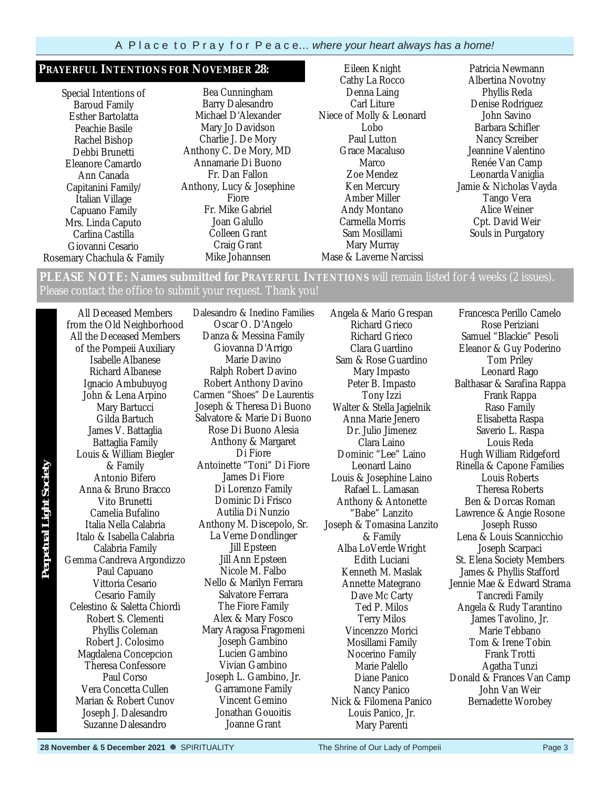#### **PRAYERFUL INTENTIONS FOR NOVEMBER 28:**

Special Intentions of Baroud Family Esther Bartolatta Peachie Basile Rachel Bishop Debbi Brunetti Eleanore Camardo Ann Canada Capitanini Family/ Italian Village Capuano Family Mrs. Linda Caputo Carlina Castilla Giovanni Cesario Rosemary Chachula & Family

Bea Cunningham Barry Dalesandro Michael D'Alexander Mary Jo Davidson Charlie J. De Mory Anthony C. De Mory, MD Annamarie Di Buono Fr. Dan Fallon Anthony, Lucy & Josephine Fiore Fr. Mike Gabriel Joan Galullo Colleen Grant Craig Grant Mike Johannsen

Eileen Knight Cathy La Rocco Denna Laing Carl Liture Niece of Molly & Leonard Lobo Paul Lutton Grace Macaluso Marco Zoe Mendez Ken Mercury Amber Miller Andy Montano Carmella Morris Sam Mosillami Mary Murray Mase & Laverne Narcissi

Patricia Newmann Albertina Novotny Phyllis Reda Denise Rodriguez John Savino Barbara Schifler Nancy Screiber Jeannine Valentino Renée Van Camp Leonarda Vaniglia Jamie & Nicholas Vayda Tango Vera Alice Weiner Cpt. David Weir Souls in Purgatory

**PLEASE NOTE: Names submitted for PRAYERFUL INTENTIONS** will remain listed for 4 weeks (2 issues). Please contact the office to submit your request. Thank you!

All Deceased Members from the Old Neighborhood All the Deceased Members of the Pompeii Auxiliary Isabelle Albanese Richard Albanese Ignacio Ambubuyog John & Lena Arpino Mary Bartucci Gilda Bartuch James V. Battaglia Battaglia Family Louis & William Biegler & Family Antonio Bifero Anna & Bruno Bracco Vito Brunetti Camelia Bufalino Italia Nella Calabria Italo & Isabella Calabria Calabria Family Gemma Candreva Argondizzo Paul Capuano Vittoria Cesario Cesario Family Celestino & Saletta Chiordi Robert S. Clementi Phyllis Coleman Robert J. Colosimo Magdalena Concepcion Theresa Confessore Paul Corso Vera Concetta Cullen Marian & Robert Cunov Joseph J. Dalesandro Suzanne Dalesandro

**Perpetual Light SocietyPerpetual Light Society** 

Dalesandro & Inedino Families Oscar O. D'Angelo Danza & Messina Family Giovanna D'Arrigo Marie Davino Ralph Robert Davino Robert Anthony Davino Carmen "Shoes" De Laurentis Joseph & Theresa Di Buono Salvatore & Marie Di Buono Rose Di Buono Alesia Anthony & Margaret Di Fiore Antoinette "Toni" Di Fiore James Di Fiore Di Lorenzo Family Dominic Di Frisco Autilia Di Nunzio Anthony M. Discepolo, Sr. La Verne Dondlinger Jill Epsteen Jill Ann Epsteen Nicole M. Falbo Nello & Marilyn Ferrara Salvatore Ferrara The Fiore Family Alex & Mary Fosco Mary Aragosa Fragomeni Joseph Gambino Lucien Gambino Vivian Gambino Joseph L. Gambino, Jr. Garramone Family Vincent Gemino Jonathan Gouoitis Joanne Grant

Angela & Mario Grespan Richard Grieco Richard Grieco Clara Guardino Sam & Rose Guardino Mary Impasto Peter B. Impasto Tony Izzi Walter & Stella Jagielnik Anna Marie Jenero Dr. Julio Jimenez Clara Laino Dominic "Lee" Laino Leonard Laino Louis & Josephine Laino Rafael L. Lamasan Anthony & Antonette "Babe" Lanzito Joseph & Tomasina Lanzito & Family Alba LoVerde Wright Edith Luciani Kenneth M. Maslak Annette Mategrano Dave Mc Carty Ted P. Milos Terry Milos Vincenzzo Morici Mosillami Family Nocerino Family Marie Palello Diane Panico Nancy Panico Nick & Filomena Panico Louis Panico, Jr. Mary Parenti

Francesca Perillo Camelo Rose Periziani Samuel "Blackie" Pesoli Eleanor & Guy Poderino Tom Priley Leonard Rago Balthasar & Sarafina Rappa Frank Rappa Raso Family Elisabetta Raspa Saverio L. Raspa Louis Reda Hugh William Ridgeford Rinella & Capone Families Louis Roberts Theresa Roberts Ben & Dorcas Roman Lawrence & Angie Rosone Joseph Russo Lena & Louis Scannicchio Joseph Scarpaci St. Elena Society Members James & Phyllis Stafford Jennie Mae & Edward Strama Tancredi Family Angela & Rudy Tarantino James Tavolino, Jr. Marie Tebbano Tom & Irene Tobin Frank Trotti Agatha Tunzi Donald & Frances Van Camp John Van Weir Bernadette Worobey

**28 November & 5 December 2021**  $\%$  SPIRITUALITY The Shrine of Our Lady of Pompeii Page 3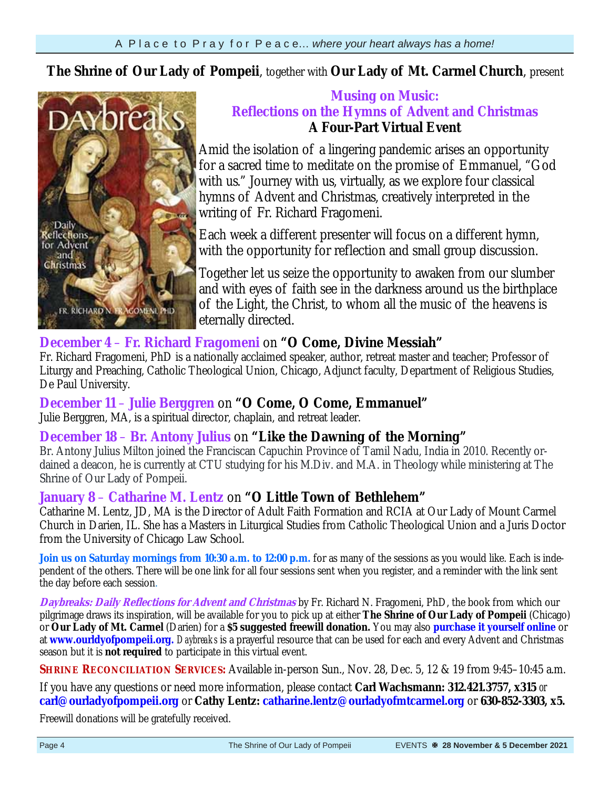**The Shrine of Our Lady of Pompeii**, together with **Our Lady of Mt. Carmel Church**, present



### **Musing on Music: Reflections on the Hymns of Advent and Christmas A Four-Part Virtual Event**

Amid the isolation of a lingering pandemic arises an opportunity for a sacred time to meditate on the promise of Emmanuel, "God with us." Journey with us, virtually, as we explore four classical hymns of Advent and Christmas, creatively interpreted in the writing of Fr. Richard Fragomeni.

Each week a different presenter will focus on a different hymn, with the opportunity for reflection and small group discussion.

Together let us seize the opportunity to awaken from our slumber and with eyes of faith see in the darkness around us the birthplace of the Light, the Christ, to whom all the music of the heavens is eternally directed.

## **December 4** – **Fr. Richard Fragomeni** on **"O Come, Divine Messiah"**

Fr. Richard Fragomeni, PhD is a nationally acclaimed speaker, author, retreat master and teacher; Professor of Liturgy and Preaching, Catholic Theological Union, Chicago, Adjunct faculty, Department of Religious Studies, De Paul University.

### **December 11** – **Julie Berggren** on **"O Come, O Come, Emmanuel"**

Julie Berggren, MA, is a spiritual director, chaplain, and retreat leader.

### **December 18** – **Br. Antony Julius** on **"Like the Dawning of the Morning"**

Br. Antony Julius Milton joined the Franciscan Capuchin Province of Tamil Nadu, India in 2010. Recently ordained a deacon, he is currently at CTU studying for his M.Div. and M.A. in Theology while ministering at The Shrine of Our Lady of Pompeii.

## **January 8** – **Catharine M. Lentz** on **"O Little Town of Bethlehem"**

Catharine M. Lentz, JD, MA is the Director of Adult Faith Formation and RCIA at Our Lady of Mount Carmel Church in Darien, IL. She has a Masters in Liturgical Studies from Catholic Theological Union and a Juris Doctor from the University of Chicago Law School.

Join us on Saturday mornings from 10:30 a.m. to 12:00 p.m. for as many of the sessions as you would like. Each is independent of the others. There will be one link for all four sessions sent when you register, and a reminder with the link sent the day before each session.

**Daybreaks: Daily Reflections for Advent and Christmas** by Fr. Richard N. Fragomeni, PhD, the book from which our pilgrimage draws its inspiration, will be available for you to pick up at either **The Shrine of Our Lady of Pompeii** (Chicago) or **Our Lady of Mt. Carmel** (Darien) for a **\$5 suggested freewill donation.** You may also **purchase it yourself online** or at **www.ourldyofpompeii.org.** *Daybreaks* is a prayerful resource that can be used for each and every Advent and Christmas season but it is **not required** to participate in this virtual event.

**SHRINE RECONCILIATION SERVICES:** Available in-person Sun., Nov. 28, Dec. 5, 12 & 19 from 9:45–10:45 a.m.

If you have any questions or need more information, please contact **Carl Wachsmann: 312.421.3757, x315** *or* **carl@ourladyofpompeii.org** or **Cathy Lentz: catharine.lentz@ourladyofmtcarmel.org** or **630-852-3303, x5.** 

Freewill donations will be gratefully received.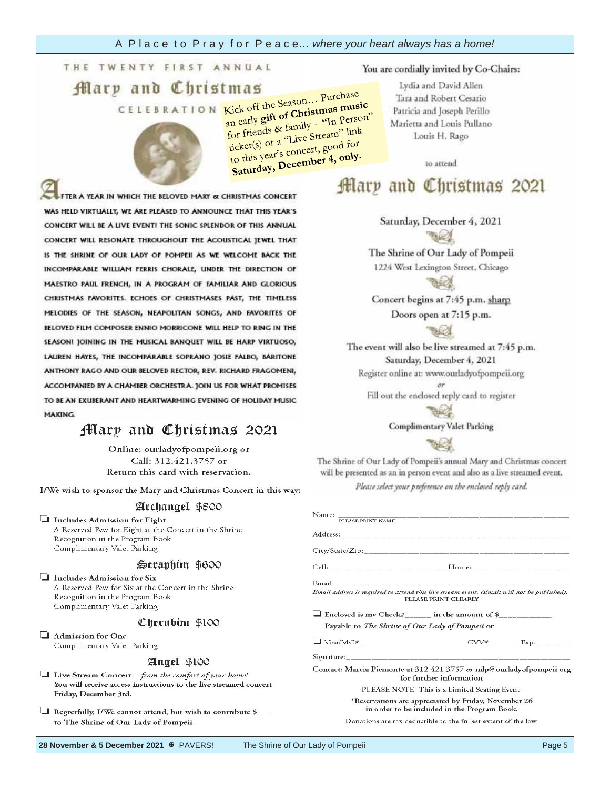## **Garden of**

# $\mathop{\mathrm{H}}\nolimits$ ary

Each 4" x 8"

**ELEBRATION** Kick off the Season... Purchase

Kick off the Season... Purchase<br>an early **gift of Christmas music**<br>an early **gift of Christmas music** Kick on the of Christmas music<br>an early gift of Christmas music<br>for friends & family - "In Person"<br>for the "Live Stream" Lior" for friends & family - In the link<br>ticket(s) or a "Live Stream" link<br>ticket(s) or a concert, good for ticket(s) or a "Live Stream<br>ticket(s) or a "Live Stream<br>to this year's concert, good for to this year's concert, good

#### You are cordially invited by Co-Chairs:

Lydia and David Allen Tara and Robert Cesario Patricia and Joseph Perillo Marietta and Louis Pullano Louis H. Rago

to attend

## Mary and Christmas 2021

Saturday, December 4, 2021

The Shrine of Our Lady of Pompeii 1224 West Lexington Street, Chicago

Concert begins at 7:45 p.m. sharp Doors open at 7:15 p.m.

The event will also be live streamed at 7:45 p.m. Saturday, December 4, 2021 Register online at: www.ourladyofpompeii.org

Fill out the enclosed reply card to register



**Complimentary Valet Parking** 

Please Print Clearly and Legible to avoid extensive print Clearly to avoid extensive print Clearly to avoid extensive print Clearly and Legible to avoid extensive print Clearly and Legible to avoid extensive print Clearly

The Shrine of Our Lady of Pompeii's annual Mary and Christmas concert will be presented as an in person event and also as a live streamed event.

Please select your preference on the enclosed reply card.

| Name: PLEASE PRINT NAME                                                                                            |  |
|--------------------------------------------------------------------------------------------------------------------|--|
|                                                                                                                    |  |
|                                                                                                                    |  |
|                                                                                                                    |  |
| Email address is required to attend this live stream event. (Email will not be published).<br>PLEASE PRINT CLEARLY |  |
| $\Box$ Enclosed is my Check# in the amount of \$                                                                   |  |
| Payable to The Shrine of Our Lady of Pompeii or                                                                    |  |
| $\Box$ Visa/MC# $\qquad \qquad \text{CVV#}$ Exp.                                                                   |  |
| Signature: Signature:                                                                                              |  |
| Contact: Marcia Piemonte at 312.421.3757 or mlp@ourladyofpompeii.org<br>for further information                    |  |
| PLEASE NOTE: This is a Limited Seating Event.                                                                      |  |
| *Reservations are appreciated by Friday, November 26<br>in order to be included in the Program Book.               |  |
| Donations are tax deductible to the fullest extent of the law.                                                     |  |

paver costs **250.00. PLEASE TERR IN WHITE** WAS HELD VIRTUALLY, WE ARE PLEASED TO ANNOUNCE THAT THIS YEAR'S CONCERT WILL BE A LIVE EVENT! THE SONIC SPLENDOR OF THIS ANNUAL CONCERT WILL RESONATE THROUGHOUT THE ACOUSTICAL JEWEL THAT IS THE SHRINE OF OUR LADY OF POMPEII AS WE WELCOME BACK THE INCOMPARABLE WILLIAM FERRIS CHORALE, UNDER THE DIRECTION OF MAESTRO PAUL FRENCH, IN A PROGRAM OF FAMILIAR AND GLORIOUS **additional state of the state of the state of the state of the state of the state of the state of the state of the state of the state of the state of the state of the state of the state of the state of the state of the st CHARLES INVONTE** MELODIES OF THE SEASON, NEAPOLITAN SONGS, AND FAVORITES OF<br>BELOVED FILM COMPOSER ENNIO MORRICONE WILL HELP TO RING IN THE SEASONI JOINING IN THE MUSICAL BANQUET WILL BE HARP VIRTUOSO, LAUREN HAYES, THE INCOMPARABLE SOPRANO JOSIE FALBO, BARITONE ANTHONY RAGO AND OUR BELOVED RECTOR, REV. RICHARD FRAGOMENI, ACCOMPANIED BY A CHAMBER ORCHESTRA. JOIN US FOR WHAT PROMISES TO BE AN EXUBERANT AND HEARTWARMING EVENING OF HOLIDAY MUSIC **MAKING** 

## Mary and Christmas 2021

Online: ourladyofpompeii.org or Call: 312.421.3757 or Return this card with reservation.

I/We wish to sponsor the Mary and Christmas Concert in this way:

#### Archangel \$800

Includes Admission for Eight A Reserved Pew for Eight at the Concert in the Shrine Recognition in the Program Book Complimentary Valet Parking

#### Seraphim \$600

Includes Admission for Six A Reserved Pew for Six at the Concert in the Shrine Recognition in the Program Book Complimentary Valet Parking

#### Cherubim \$100

Admission for One Complimentary Valet Parking

#### Angel \$100

 $\Box$  Live Stream Concert - from the comfort of your home! You will receive access instructions to the live streamed concert Friday, December 3rd.

Regretfully, I/We cannot attend, but wish to contribute \$\_ to The Shrine of Our Lady of Pompeii.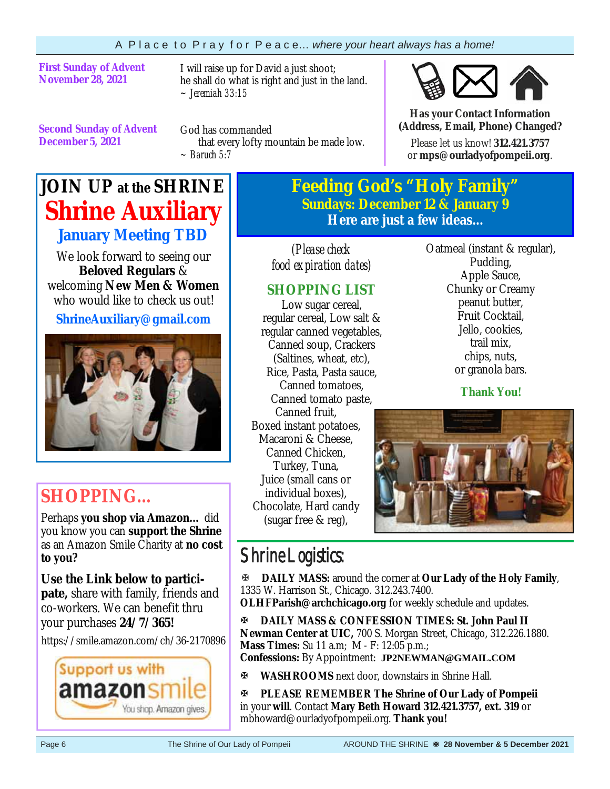### **First Sunday of Advent November 28, 2021**

I will raise up for David a just shoot; he shall do what is right and just in the land. *~ Jeremiah 33:15* 

**Second Sunday of Advent December 5, 2021**

God has commanded that every lofty mountain be made low. *~ Baruch 5:7*

## **JOIN UP at the SHRINE Shrine Auxiliary January Meeting TBD**

We look forward to seeing our **Beloved Regulars** & welcoming **New Men & Women**  who would like to check us out!

**ShrineAuxiliary@gmail.com** 



## **SHOPPING…**

Perhaps **you shop via Amazon…** did you know you can **support the Shrine**  as an Amazon Smile Charity at **no cost to you?** 

**Use the Link below to participate,** share with family, friends and co-workers. We can benefit thru your purchases **24/7/365!**

https://smile.amazon.com/ch/36-2170896



**Feeding God's "Holy Family" Sundays: December 12 & January 9 Here are just a few ideas...** 

*(Please check food expiration dates)* 

## **SHOPPING LIST**

Low sugar cereal, regular cereal, Low salt & regular canned vegetables, Canned soup, Crackers (Saltines, wheat, etc), Rice, Pasta, Pasta sauce, Canned tomatoes, Canned tomato paste, Canned fruit, Boxed instant potatoes, Macaroni & Cheese, Canned Chicken, Turkey, Tuna, Juice (small cans or individual boxes), Chocolate, Hard candy (sugar free & reg),

Oatmeal (instant & regular), Pudding, Apple Sauce, Chunky or Creamy peanut butter, Fruit Cocktail, Jello, cookies, trail mix, chips, nuts, or granola bars.

**Has your Contact Information (Address, Email, Phone) Changed?**Please let us know! **312.421.3757**  or **mps@ourladyofpompeii.org**.

**Thank You!**



## Shrine Logistics:

**DAILY MASS:** around the corner at **Our Lady of the Holy Family**, 1335 W. Harrison St., Chicago. 312.243.7400.

**OLHFParish@archchicago.org** for weekly schedule and updates.

**DAILY MASS & CONFESSION TIMES: St. John Paul II Newman Center at UIC,** 700 S. Morgan Street, Chicago, 312.226.1880. **Mass Times:** Su 11 a.m; M - F: 12:05 p.m.; **Confessions:** By Appointment: **JP2NEWMAN@GMAIL.COM**

**WASHROOMS** next door, downstairs in Shrine Hall.

**PLEASE REMEMBER The Shrine of Our Lady of Pompeii**  in your **will**. Contact **Mary Beth Howard 312.421.3757, ext. 319** or mbhoward@ourladyofpompeii.org. **Thank you!**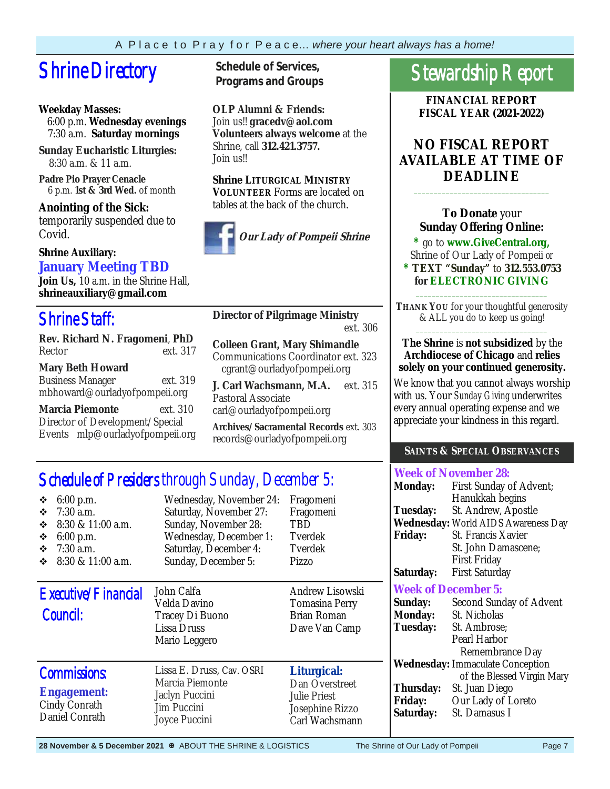# **Shrine Directory** Schedule of Services,

### **Weekday Masses:**

 6:00 p.m. **Wednesday evenings** 7:30 a.m. **Saturday mornings**

**Sunday Eucharistic Liturgies:** 8:30 a.m. & 11 a.m.

**Padre Pio Prayer Cenacle** 6 p.m. **1st & 3rd Wed.** of month

**Anointing of the Sick:**  temporarily suspended due to Covid.

### **Shrine Auxiliary: January Meeting TBD**

**Join Us,** 10 a.m. in the Shrine Hall, **shrineauxiliary@gmail.com** 

## Shrine Staff:

**Rev. Richard N. Fragomeni**, **PhD**  Rector ext. 317

### **Mary Beth Howard**

Business Manager ext. 319 mbhoward@ourladyofpompeii.org

**Marcia Piemonte** ext. 310 Director of Development/Special Events mlp@ourladyofpompeii.org **Programs and Groups**

**OLP Alumni & Friends:**  Join us!! **gracedv@aol.com Volunteers always welcome** at the Shrine, call **312.421.3757.**  Join us!!

#### **Shrine LITURGICAL MINISTRY VOLUNTEER** Forms are located on tables at the back of the church.



**Director of Pilgrimage Ministry** ext. 306

**Colleen Grant, Mary Shimandle**  Communications Coordinator ext. 323 cgrant@ourladyofpompeii.org

**J. Carl Wachsmann, M.A.** ext. 315 Pastoral Associate carl@ourladyofpompeii.org

**Archives/Sacramental Records** ext. 303 records@ourladyofpompeii.org

## Schedule of Presiders through Sunday, December 5:

| 6:00 p.m.<br>❖<br>$7:30$ a.m.<br>❖<br>8:30 & 11:00 a.m.<br>❖<br>6:00 p.m.<br>❖<br>$7:30$ a.m.<br>❖<br>8:30 & 11:00 a.m.<br>❖ | Wednesday, November 24:<br>Saturday, November 27:<br>Sunday, November 28:<br>Wednesday, December 1:<br>Saturday, December 4:<br>Sunday, December 5: | Fragomeni<br>Fragomeni<br>TBD<br>Tverdek<br>Tverdek<br>Pizzo                              |
|------------------------------------------------------------------------------------------------------------------------------|-----------------------------------------------------------------------------------------------------------------------------------------------------|-------------------------------------------------------------------------------------------|
| Executive/Financial<br>Council:                                                                                              | John Calfa<br>Velda Davino<br>Tracey Di Buono<br>Lissa Druss<br>Mario Leggero                                                                       | Andrew Lisowski<br>Tomasina Perry<br><b>Brian Roman</b><br>Dave Van Camp                  |
| <b>Commissions:</b><br><b>Engagement:</b><br>Cindy Conrath<br>Daniel Conrath                                                 | Lissa E. Druss, Cav. OSRI<br>Marcia Piemonte<br>Jaclyn Puccini<br>Jim Puccini<br>Joyce Puccini                                                      | Liturgical:<br>Dan Overstreet<br><b>Julie Priest</b><br>Josephine Rizzo<br>Carl Wachsmann |

## Stewardship Report

**FINANCIAL REPORT FISCAL YEAR (2021-2022)** 

## **NO FISCAL REPORT AVAILABLE AT TIME OF DEADLINE**

### **To Donate** your **Sunday Offering Online:**

\_\_\_\_\_\_\_\_\_\_\_\_\_\_\_\_\_\_\_\_\_\_\_\_\_\_\_\_\_\_\_\_\_\_

**\*** go to **www.GiveCentral.org,** Shrine of Our Lady of Pompeii *or* 

**\* TEXT "Sunday"** to **312.553.0753 for ELECTRONIC GIVING** \_\_\_\_\_\_\_\_\_\_\_\_\_\_\_\_\_\_\_\_\_\_\_\_\_\_\_\_\_\_\_\_\_

**THANK YOU** for your thoughtful generosity & ALL you do to keep us going! \_\_\_\_\_\_\_\_\_\_\_\_\_\_\_\_\_\_\_\_\_\_\_\_\_\_\_\_\_\_\_\_\_

#### **The Shrine** is **not subsidized** by the **Archdiocese of Chicago** and **relies solely on your continued generosity.**

We know that you cannot always worship with us. Your *Sunday Giving* underwrites every annual operating expense and we appreciate your kindness in this regard.

### **SAINTS & SPECIAL OBSERVANCES**

### **Week of November 28:**

| <b>Monday:</b>  | First Sunday of Advent;                    |
|-----------------|--------------------------------------------|
|                 | Hanukkah begins                            |
| <b>Tuesday:</b> | St. Andrew, Apostle                        |
|                 | <b>Wednesday:</b> World AIDS Awareness Day |
| <b>Friday:</b>  | St. Francis Xavier                         |
|                 | St. John Damascene;                        |
|                 | <b>First Friday</b>                        |
| Saturday:       | <b>First Saturday</b>                      |
|                 |                                            |

### **Week of December 5:**

| Sunday:                                 | Second Sunday of Advent    |  |
|-----------------------------------------|----------------------------|--|
| <b>Monday:</b>                          | St. Nicholas               |  |
| <b>Tuesday:</b>                         | St. Ambrose;               |  |
|                                         | Pearl Harbor               |  |
|                                         | Remembrance Day            |  |
| <b>Wednesday:</b> Immaculate Conception |                            |  |
|                                         | of the Blessed Virgin Mary |  |
| Thursday:                               | St. Juan Diego             |  |
| <b>Friday:</b>                          | Our Lady of Loreto         |  |
| Saturday:                               | St. Damasus I              |  |
|                                         |                            |  |

28 November & 5 December 2021 <sup>\$8</sup> ABOUT THE SHRINE & LOGISTICS The Shrine of Our Lady of Pompeii Page 7